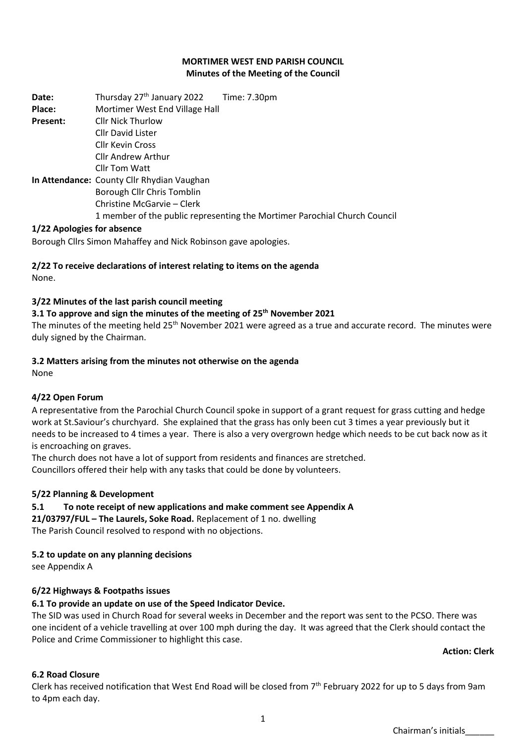### **MORTIMER WEST END PARISH COUNCIL Minutes of the Meeting of the Council**

**Date:** Thursday 27<sup>th</sup> January 2022 Time: 7.30pm **Place:** Mortimer West End Village Hall **Present:** Cllr Nick Thurlow Cllr David Lister Cllr Kevin Cross Cllr Andrew Arthur Cllr Tom Watt **In Attendance:** County Cllr Rhydian Vaughan Borough Cllr Chris Tomblin Christine McGarvie – Clerk 1 member of the public representing the Mortimer Parochial Church Council

### **1/22 Apologies for absence**

Borough Cllrs Simon Mahaffey and Nick Robinson gave apologies.

## **2/22 To receive declarations of interest relating to items on the agenda** None.

### **3/22 Minutes of the last parish council meeting**

### **3.1 To approve and sign the minutes of the meeting of 25th November 2021**

The minutes of the meeting held 25<sup>th</sup> November 2021 were agreed as a true and accurate record. The minutes were duly signed by the Chairman.

### **3.2 Matters arising from the minutes not otherwise on the agenda**

None

## **4/22 Open Forum**

A representative from the Parochial Church Council spoke in support of a grant request for grass cutting and hedge work at St.Saviour's churchyard. She explained that the grass has only been cut 3 times a year previously but it needs to be increased to 4 times a year. There is also a very overgrown hedge which needs to be cut back now as it is encroaching on graves.

The church does not have a lot of support from residents and finances are stretched.

Councillors offered their help with any tasks that could be done by volunteers.

## **5/22 Planning & Development**

## **5.1 To note receipt of new applications and make comment see Appendix A**

**21/03797/FUL – The Laurels, Soke Road.** Replacement of 1 no. dwelling The Parish Council resolved to respond with no objections.

## **5.2 to update on any planning decisions**

see Appendix A

## **6/22 Highways & Footpaths issues**

## **6.1 To provide an update on use of the Speed Indicator Device.**

The SID was used in Church Road for several weeks in December and the report was sent to the PCSO. There was one incident of a vehicle travelling at over 100 mph during the day. It was agreed that the Clerk should contact the Police and Crime Commissioner to highlight this case.

### **Action: Clerk**

## **6.2 Road Closure**

Clerk has received notification that West End Road will be closed from 7<sup>th</sup> February 2022 for up to 5 days from 9am to 4pm each day.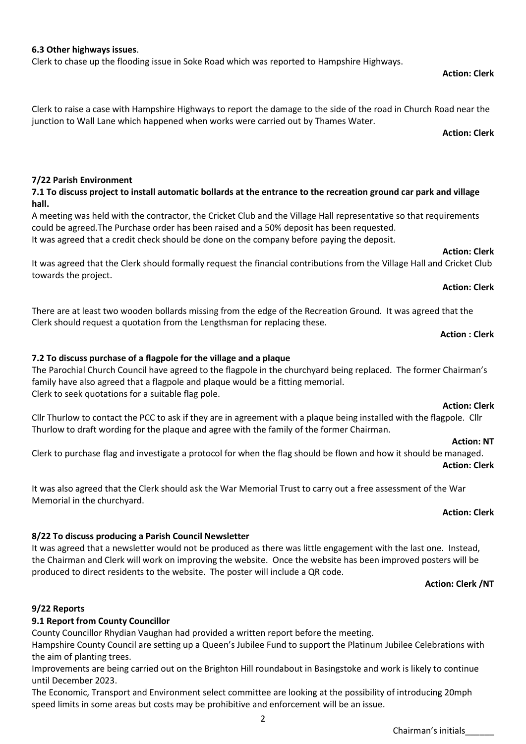## **7/22 Parish Environment**

towards the project.

## **7.1 To discuss project to install automatic bollards at the entrance to the recreation ground car park and village hall.**

Clerk to raise a case with Hampshire Highways to report the damage to the side of the road in Church Road near the

A meeting was held with the contractor, the Cricket Club and the Village Hall representative so that requirements could be agreed.The Purchase order has been raised and a 50% deposit has been requested. It was agreed that a credit check should be done on the company before paying the deposit.

It was agreed that the Clerk should formally request the financial contributions from the Village Hall and Cricket Club

There are at least two wooden bollards missing from the edge of the Recreation Ground. It was agreed that the

# **7.2 To discuss purchase of a flagpole for the village and a plaque**

Clerk should request a quotation from the Lengthsman for replacing these.

The Parochial Church Council have agreed to the flagpole in the churchyard being replaced. The former Chairman's family have also agreed that a flagpole and plaque would be a fitting memorial. Clerk to seek quotations for a suitable flag pole.

## **Action: Clerk**

Cllr Thurlow to contact the PCC to ask if they are in agreement with a plaque being installed with the flagpole. Cllr Thurlow to draft wording for the plaque and agree with the family of the former Chairman.

## **Action: NT**

Clerk to purchase flag and investigate a protocol for when the flag should be flown and how it should be managed. **Action: Clerk** 

It was also agreed that the Clerk should ask the War Memorial Trust to carry out a free assessment of the War Memorial in the churchyard.

## **Action: Clerk**

# **8/22 To discuss producing a Parish Council Newsletter**

It was agreed that a newsletter would not be produced as there was little engagement with the last one. Instead, the Chairman and Clerk will work on improving the website. Once the website has been improved posters will be produced to direct residents to the website. The poster will include a QR code.

## **Action: Clerk /NT**

## **9/22 Reports**

# **9.1 Report from County Councillor**

County Councillor Rhydian Vaughan had provided a written report before the meeting.

Hampshire County Council are setting up a Queen's Jubilee Fund to support the Platinum Jubilee Celebrations with the aim of planting trees.

Improvements are being carried out on the Brighton Hill roundabout in Basingstoke and work is likely to continue until December 2023.

The Economic, Transport and Environment select committee are looking at the possibility of introducing 20mph speed limits in some areas but costs may be prohibitive and enforcement will be an issue.

# **6.3 Other highways issues**.

Clerk to chase up the flooding issue in Soke Road which was reported to Hampshire Highways.

junction to Wall Lane which happened when works were carried out by Thames Water.

### **Action: Clerk**

**Action: Clerk** 

## **Action: Clerk**

## **Action: Clerk**

## **Action : Clerk**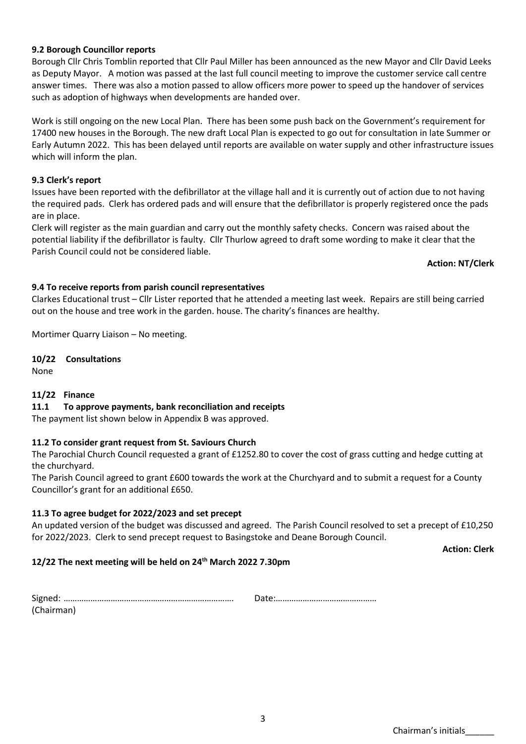## Chairman's initials\_\_\_\_\_\_

### **9.2 Borough Councillor reports**

Borough Cllr Chris Tomblin reported that Cllr Paul Miller has been announced as the new Mayor and Cllr David Leeks as Deputy Mayor. A motion was passed at the last full council meeting to improve the customer service call centre answer times. There was also a motion passed to allow officers more power to speed up the handover of services such as adoption of highways when developments are handed over.

Work is still ongoing on the new Local Plan. There has been some push back on the Government's requirement for 17400 new houses in the Borough. The new draft Local Plan is expected to go out for consultation in late Summer or Early Autumn 2022. This has been delayed until reports are available on water supply and other infrastructure issues which will inform the plan.

### **9.3 Clerk's report**

Issues have been reported with the defibrillator at the village hall and it is currently out of action due to not having the required pads. Clerk has ordered pads and will ensure that the defibrillator is properly registered once the pads are in place.

Clerk will register as the main guardian and carry out the monthly safety checks. Concern was raised about the potential liability if the defibrillator is faulty. Cllr Thurlow agreed to draft some wording to make it clear that the Parish Council could not be considered liable.

**Action: NT/Clerk**

### **9.4 To receive reports from parish council representatives**

Clarkes Educational trust – Cllr Lister reported that he attended a meeting last week. Repairs are still being carried out on the house and tree work in the garden. house. The charity's finances are healthy.

Mortimer Quarry Liaison – No meeting.

**10/22 Consultations**

None

### **11/22 Finance**

### **11.1 To approve payments, bank reconciliation and receipts**

The payment list shown below in Appendix B was approved.

### **11.2 To consider grant request from St. Saviours Church**

The Parochial Church Council requested a grant of £1252.80 to cover the cost of grass cutting and hedge cutting at the churchyard.

The Parish Council agreed to grant £600 towards the work at the Churchyard and to submit a request for a County Councillor's grant for an additional £650.

### **11.3 To agree budget for 2022/2023 and set precept**

An updated version of the budget was discussed and agreed. The Parish Council resolved to set a precept of £10,250 for 2022/2023. Clerk to send precept request to Basingstoke and Deane Borough Council.

**Action: Clerk** 

### **12/22 The next meeting will be held on 24th March 2022 7.30pm**

| (Chairman) |  |
|------------|--|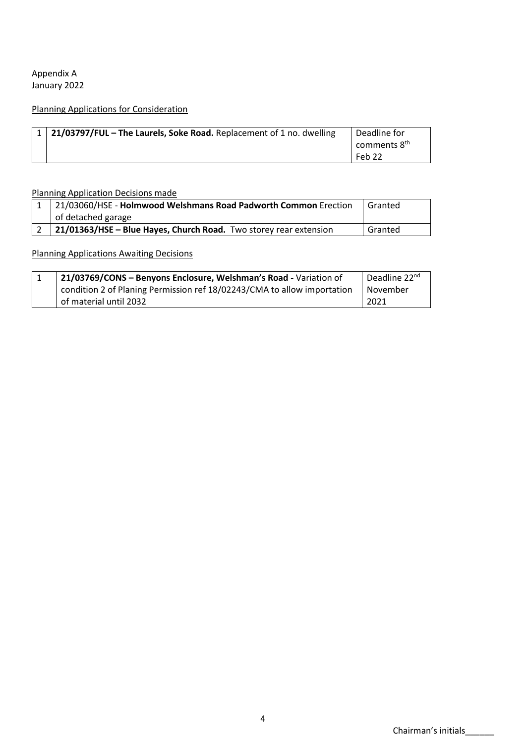Appendix A January 2022

# Planning Applications for Consideration

| $\vert 1 \vert 21/03797$ /FUL – The Laurels, Soke Road. Replacement of 1 no. dwelling | Deadline for |
|---------------------------------------------------------------------------------------|--------------|
|                                                                                       | comments 8th |
|                                                                                       | Feb 22       |

Planning Application Decisions made

| 1 21/03060/HSE - Holmwood Welshmans Road Padworth Common Erection       | Granted |
|-------------------------------------------------------------------------|---------|
| of detached garage                                                      |         |
| $2$   21/01363/HSE – Blue Hayes, Church Road. Two storey rear extension | Granted |

### Planning Applications Awaiting Decisions

| 21/03769/CONS - Benyons Enclosure, Welshman's Road - Variation of       | Deadline 22 <sup>nd</sup> |
|-------------------------------------------------------------------------|---------------------------|
| condition 2 of Planing Permission ref 18/02243/CMA to allow importation | November                  |
| of material until 2032                                                  | 2021                      |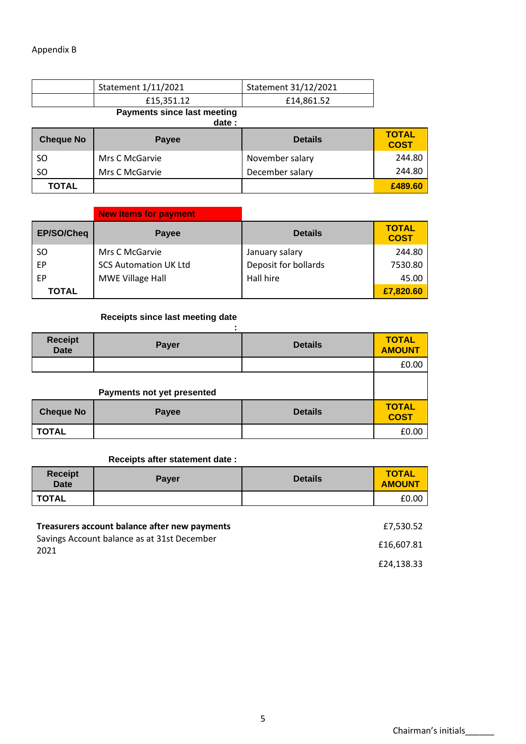| Statement 1/11/2021 | Statement 31/12/2021 |
|---------------------|----------------------|
| £15.351.12          | £14,861.52           |

### **Payments since last meeting**

| date:            |                |                 |                             |
|------------------|----------------|-----------------|-----------------------------|
| <b>Cheque No</b> | <b>Payee</b>   | <b>Details</b>  | <b>TOTAL</b><br><b>COST</b> |
| SO.              | Mrs C McGarvie | November salary | 244.80                      |
| SO.              | Mrs C McGarvie | December salary | 244.80                      |
| <b>TOTAL</b>     |                |                 | £489.60                     |

|               | <b>New Items for payment</b> |                      |                             |
|---------------|------------------------------|----------------------|-----------------------------|
| EP/SO/Cheq    | <b>Payee</b>                 | <b>Details</b>       | <b>TOTAL</b><br><b>COST</b> |
| <sub>SO</sub> | Mrs C McGarvie               | January salary       | 244.80                      |
| EP            | <b>SCS Automation UK Ltd</b> | Deposit for bollards | 7530.80                     |
| EP            | MWE Village Hall             | Hall hire            | 45.00                       |
| <b>TOTAL</b>  |                              |                      | £7,820.60                   |

# **Receipts since last meeting date**

| <b>Receipt</b><br><b>Date</b> | Payer                      | <b>Details</b> | <b>TOTAL</b><br><b>AMOUNT</b> |
|-------------------------------|----------------------------|----------------|-------------------------------|
|                               |                            |                | £0.00                         |
|                               | Payments not yet presented |                |                               |
| <b>Cheque No</b>              | Payee                      | <b>Details</b> | <b>TOTAL</b><br><b>COST</b>   |
| <b>TOTAL</b>                  |                            |                | £0.00                         |

### **Receipts after statement date :**

| <b>Receipt</b><br><b>Date</b>                                                                        | <b>Payer</b> | <b>Details</b> | <b>TOTAL</b><br><b>AMOUNT</b> |
|------------------------------------------------------------------------------------------------------|--------------|----------------|-------------------------------|
| <b>TOTAL</b>                                                                                         |              |                | £0.00                         |
|                                                                                                      |              |                |                               |
| Treasurers account balance after new payments<br>Savings Account balance as at 31st December<br>2021 |              |                | £7,530.52                     |
|                                                                                                      |              |                | £16,607.81                    |
|                                                                                                      |              |                | £24,138.33                    |